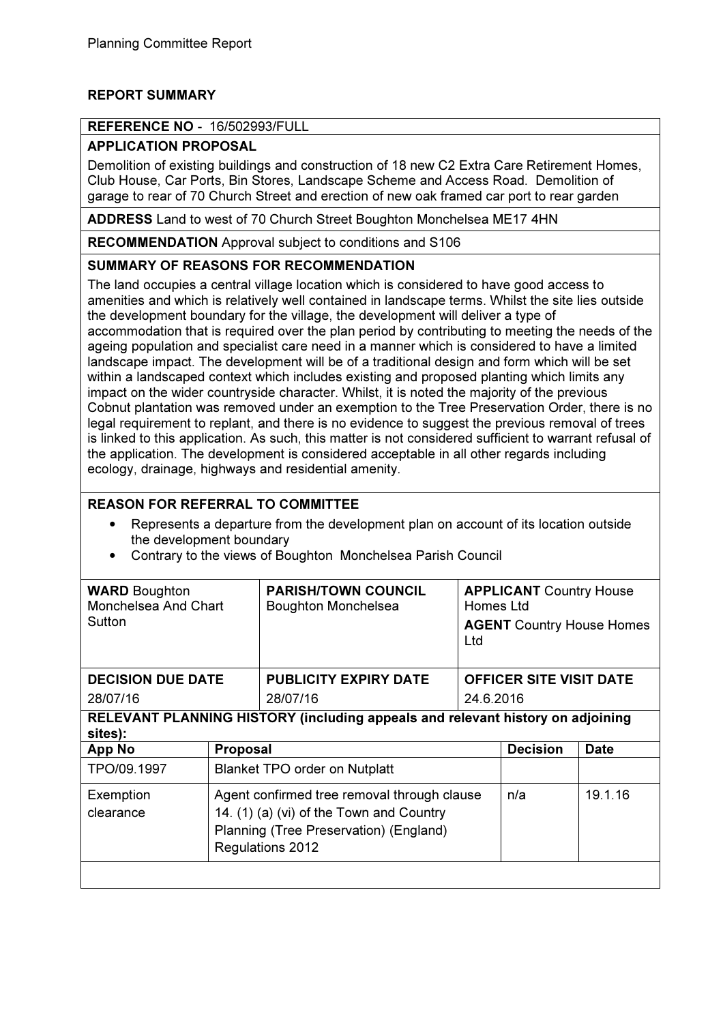# REPORT SUMMARY

# REFERENCE NO - 16/502993/FULL

# APPLICATION PROPOSAL

Demolition of existing buildings and construction of 18 new C2 Extra Care Retirement Homes, Club House, Car Ports, Bin Stores, Landscape Scheme and Access Road. Demolition of garage to rear of 70 Church Street and erection of new oak framed car port to rear garden

ADDRESS Land to west of 70 Church Street Boughton Monchelsea ME17 4HN

RECOMMENDATION Approval subject to conditions and S106

# SUMMARY OF REASONS FOR RECOMMENDATION

The land occupies a central village location which is considered to have good access to amenities and which is relatively well contained in landscape terms. Whilst the site lies outside the development boundary for the village, the development will deliver a type of accommodation that is required over the plan period by contributing to meeting the needs of the ageing population and specialist care need in a manner which is considered to have a limited landscape impact. The development will be of a traditional design and form which will be set within a landscaped context which includes existing and proposed planting which limits any impact on the wider countryside character. Whilst, it is noted the majority of the previous Cobnut plantation was removed under an exemption to the Tree Preservation Order, there is no legal requirement to replant, and there is no evidence to suggest the previous removal of trees is linked to this application. As such, this matter is not considered sufficient to warrant refusal of the application. The development is considered acceptable in all other regards including ecology, drainage, highways and residential amenity.

# REASON FOR REFERRAL TO COMMITTEE

- Represents a departure from the development plan on account of its location outside the development boundary
- Contrary to the views of Boughton Monchelsea Parish Council

| <b>WARD</b> Boughton<br>Monchelsea And Chart<br>Sutton                                    |                                                                                                                                                       | <b>PARISH/TOWN COUNCIL</b><br><b>Boughton Monchelsea</b> | Ltd       | <b>APPLICANT Country House</b><br>Homes Ltd<br><b>AGENT Country House Homes</b> |             |  |
|-------------------------------------------------------------------------------------------|-------------------------------------------------------------------------------------------------------------------------------------------------------|----------------------------------------------------------|-----------|---------------------------------------------------------------------------------|-------------|--|
| <b>DECISION DUE DATE</b>                                                                  |                                                                                                                                                       | <b>PUBLICITY EXPIRY DATE</b>                             |           | <b>OFFICER SITE VISIT DATE</b>                                                  |             |  |
| 28/07/16                                                                                  |                                                                                                                                                       | 28/07/16                                                 | 24.6.2016 |                                                                                 |             |  |
| RELEVANT PLANNING HISTORY (including appeals and relevant history on adjoining<br>sites): |                                                                                                                                                       |                                                          |           |                                                                                 |             |  |
| <b>App No</b>                                                                             | <b>Proposal</b>                                                                                                                                       |                                                          |           | <b>Decision</b>                                                                 | <b>Date</b> |  |
| TPO/09.1997                                                                               | <b>Blanket TPO order on Nutplatt</b>                                                                                                                  |                                                          |           |                                                                                 |             |  |
| Exemption<br>clearance                                                                    | Agent confirmed tree removal through clause<br>14. (1) (a) (vi) of the Town and Country<br>Planning (Tree Preservation) (England)<br>Regulations 2012 |                                                          |           | n/a                                                                             | 19.1.16     |  |
|                                                                                           |                                                                                                                                                       |                                                          |           |                                                                                 |             |  |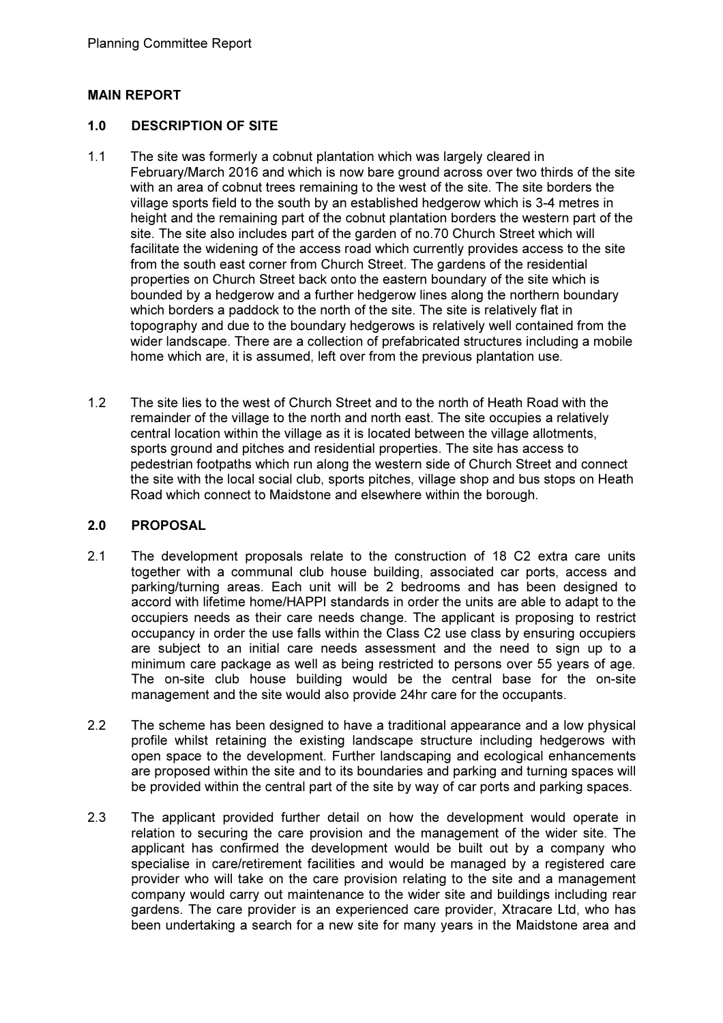## MAIN REPORT

#### 1.0 DESCRIPTION OF SITE

- 1.1 The site was formerly a cobnut plantation which was largely cleared in February/March 2016 and which is now bare ground across over two thirds of the site with an area of cobnut trees remaining to the west of the site. The site borders the village sports field to the south by an established hedgerow which is 3-4 metres in height and the remaining part of the cobnut plantation borders the western part of the site. The site also includes part of the garden of no.70 Church Street which will facilitate the widening of the access road which currently provides access to the site from the south east corner from Church Street. The gardens of the residential properties on Church Street back onto the eastern boundary of the site which is bounded by a hedgerow and a further hedgerow lines along the northern boundary which borders a paddock to the north of the site. The site is relatively flat in topography and due to the boundary hedgerows is relatively well contained from the wider landscape. There are a collection of prefabricated structures including a mobile home which are, it is assumed, left over from the previous plantation use.
- 1.2 The site lies to the west of Church Street and to the north of Heath Road with the remainder of the village to the north and north east. The site occupies a relatively central location within the village as it is located between the village allotments, sports ground and pitches and residential properties. The site has access to pedestrian footpaths which run along the western side of Church Street and connect the site with the local social club, sports pitches, village shop and bus stops on Heath Road which connect to Maidstone and elsewhere within the borough.

#### 2.0 PROPOSAL

- 2.1 The development proposals relate to the construction of 18 C2 extra care units together with a communal club house building, associated car ports, access and parking/turning areas. Each unit will be 2 bedrooms and has been designed to accord with lifetime home/HAPPI standards in order the units are able to adapt to the occupiers needs as their care needs change. The applicant is proposing to restrict occupancy in order the use falls within the Class C2 use class by ensuring occupiers are subject to an initial care needs assessment and the need to sign up to a minimum care package as well as being restricted to persons over 55 years of age. The on-site club house building would be the central base for the on-site management and the site would also provide 24hr care for the occupants.
- 2.2 The scheme has been designed to have a traditional appearance and a low physical profile whilst retaining the existing landscape structure including hedgerows with open space to the development. Further landscaping and ecological enhancements are proposed within the site and to its boundaries and parking and turning spaces will be provided within the central part of the site by way of car ports and parking spaces.
- 2.3 The applicant provided further detail on how the development would operate in relation to securing the care provision and the management of the wider site. The applicant has confirmed the development would be built out by a company who specialise in care/retirement facilities and would be managed by a registered care provider who will take on the care provision relating to the site and a management company would carry out maintenance to the wider site and buildings including rear gardens. The care provider is an experienced care provider, Xtracare Ltd, who has been undertaking a search for a new site for many years in the Maidstone area and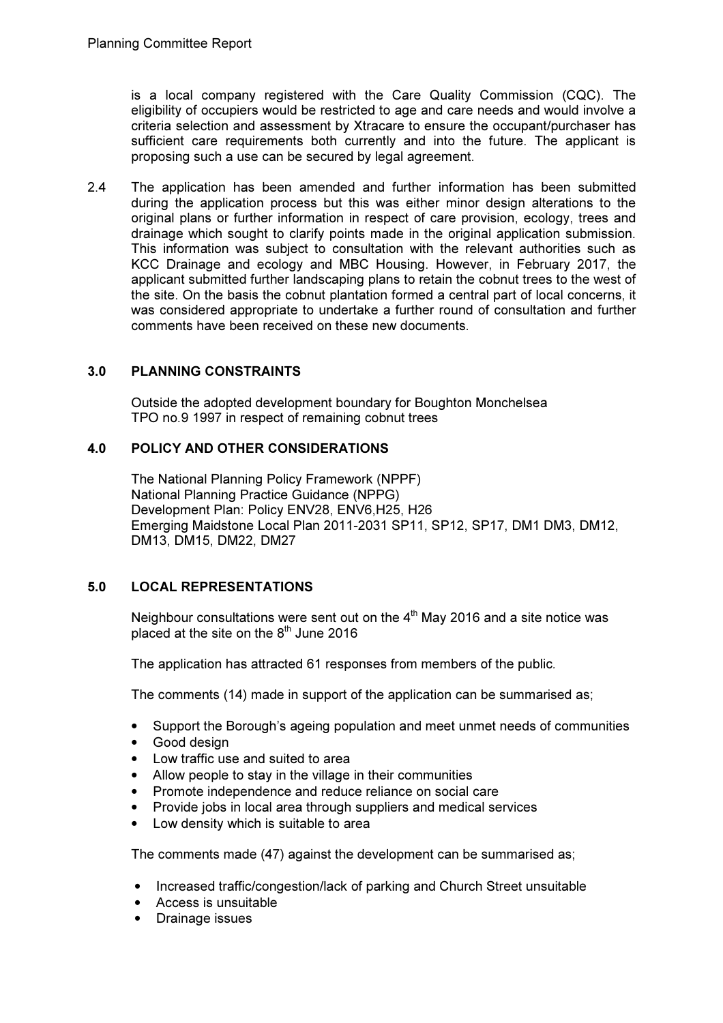is a local company registered with the Care Quality Commission (CQC). The eligibility of occupiers would be restricted to age and care needs and would involve a criteria selection and assessment by Xtracare to ensure the occupant/purchaser has sufficient care requirements both currently and into the future. The applicant is proposing such a use can be secured by legal agreement.

2.4 The application has been amended and further information has been submitted during the application process but this was either minor design alterations to the original plans or further information in respect of care provision, ecology, trees and drainage which sought to clarify points made in the original application submission. This information was subject to consultation with the relevant authorities such as KCC Drainage and ecology and MBC Housing. However, in February 2017, the applicant submitted further landscaping plans to retain the cobnut trees to the west of the site. On the basis the cobnut plantation formed a central part of local concerns, it was considered appropriate to undertake a further round of consultation and further comments have been received on these new documents.

# 3.0 PLANNING CONSTRAINTS

Outside the adopted development boundary for Boughton Monchelsea TPO no.9 1997 in respect of remaining cobnut trees

# 4.0 POLICY AND OTHER CONSIDERATIONS

The National Planning Policy Framework (NPPF) National Planning Practice Guidance (NPPG) Development Plan: Policy ENV28, ENV6,H25, H26 Emerging Maidstone Local Plan 2011-2031 SP11, SP12, SP17, DM1 DM3, DM12, DM13, DM15, DM22, DM27

# 5.0 LOCAL REPRESENTATIONS

Neighbour consultations were sent out on the  $4<sup>th</sup>$  May 2016 and a site notice was placed at the site on the  $8<sup>th</sup>$  June 2016

The application has attracted 61 responses from members of the public.

The comments (14) made in support of the application can be summarised as;

- Support the Borough's ageing population and meet unmet needs of communities
- Good design
- Low traffic use and suited to area
- Allow people to stay in the village in their communities
- Promote independence and reduce reliance on social care
- Provide jobs in local area through suppliers and medical services
- Low density which is suitable to area

The comments made (47) against the development can be summarised as;

- Increased traffic/congestion/lack of parking and Church Street unsuitable
- Access is unsuitable
- Drainage issues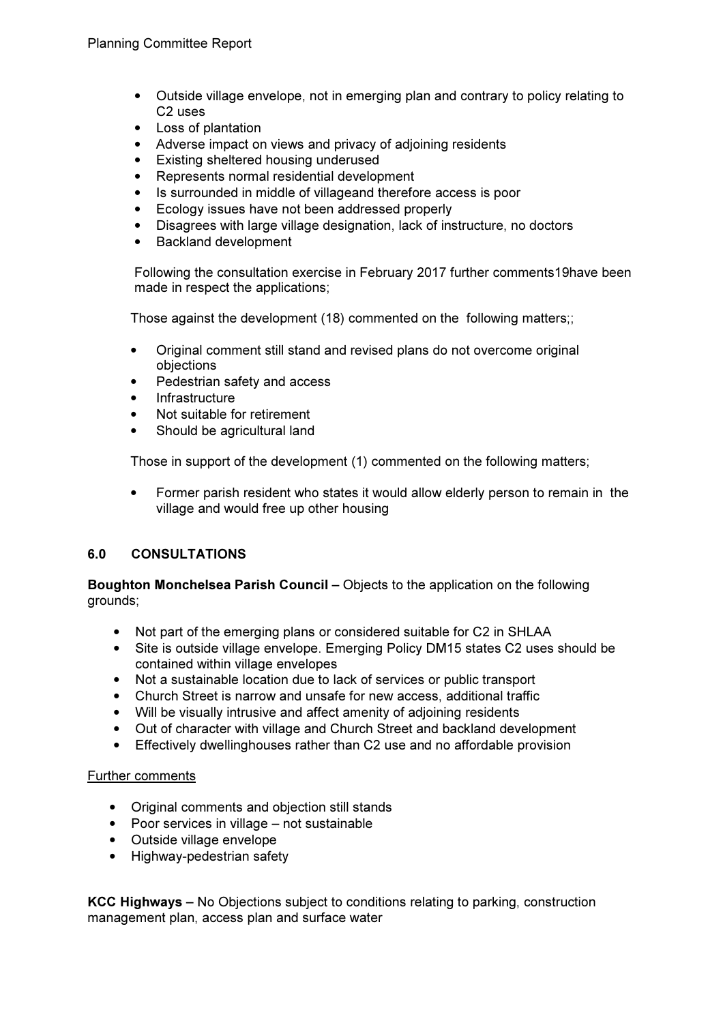- Outside village envelope, not in emerging plan and contrary to policy relating to C2 uses
- Loss of plantation
- Adverse impact on views and privacy of adjoining residents
- Existing sheltered housing underused
- Represents normal residential development
- Is surrounded in middle of villageand therefore access is poor
- Ecology issues have not been addressed properly
- Disagrees with large village designation, lack of instructure, no doctors
- Backland development

Following the consultation exercise in February 2017 further comments19have been made in respect the applications;

Those against the development (18) commented on the following matters;;

- Original comment still stand and revised plans do not overcome original objections
- Pedestrian safety and access
- **Infrastructure**
- Not suitable for retirement
- Should be agricultural land

Those in support of the development (1) commented on the following matters;

• Former parish resident who states it would allow elderly person to remain in the village and would free up other housing

## 6.0 CONSULTATIONS

Boughton Monchelsea Parish Council – Objects to the application on the following grounds;

- Not part of the emerging plans or considered suitable for C2 in SHLAA
- Site is outside village envelope. Emerging Policy DM15 states C2 uses should be contained within village envelopes
- Not a sustainable location due to lack of services or public transport
- Church Street is narrow and unsafe for new access, additional traffic
- Will be visually intrusive and affect amenity of adjoining residents
- Out of character with village and Church Street and backland development
- Effectively dwellinghouses rather than C2 use and no affordable provision

## Further comments

- Original comments and objection still stands
- Poor services in village not sustainable
- Outside village envelope
- Highway-pedestrian safety

KCC Highways – No Objections subject to conditions relating to parking, construction management plan, access plan and surface water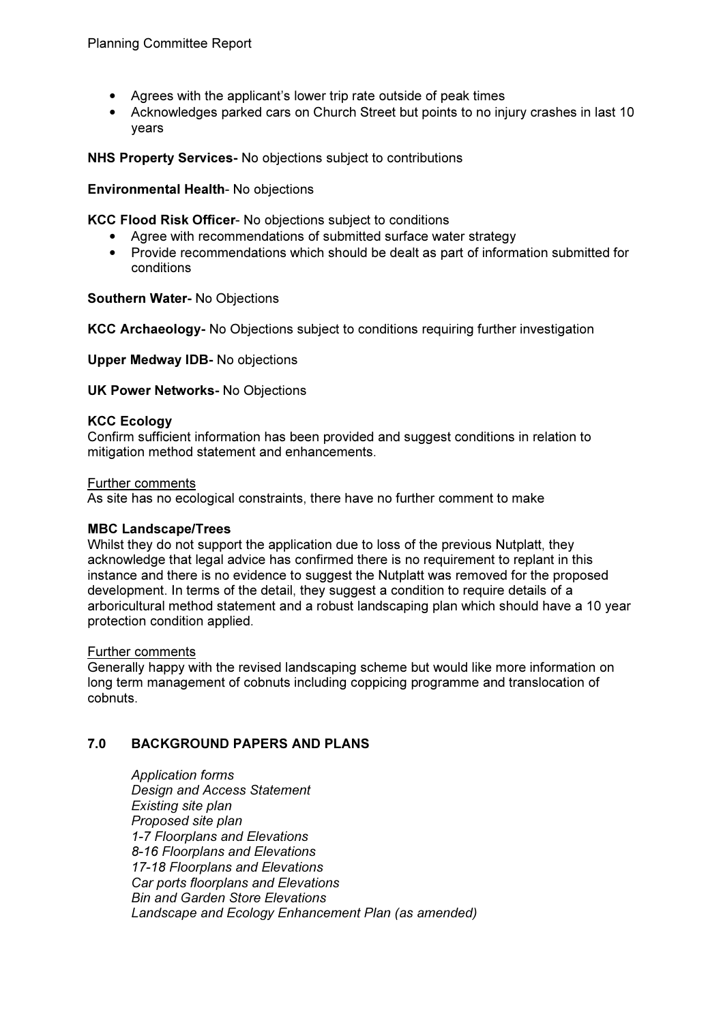- Agrees with the applicant's lower trip rate outside of peak times
- Acknowledges parked cars on Church Street but points to no injury crashes in last 10 years

NHS Property Services- No objections subject to contributions

## Environmental Health- No objections

KCC Flood Risk Officer- No objections subject to conditions

- Agree with recommendations of submitted surface water strategy
- Provide recommendations which should be dealt as part of information submitted for conditions

Southern Water- No Objections

KCC Archaeology- No Objections subject to conditions requiring further investigation

Upper Medway IDB- No objections

UK Power Networks- No Objections

#### KCC Ecology

Confirm sufficient information has been provided and suggest conditions in relation to mitigation method statement and enhancements.

#### Further comments

As site has no ecological constraints, there have no further comment to make

#### MBC Landscape/Trees

Whilst they do not support the application due to loss of the previous Nutplatt, they acknowledge that legal advice has confirmed there is no requirement to replant in this instance and there is no evidence to suggest the Nutplatt was removed for the proposed development. In terms of the detail, they suggest a condition to require details of a arboricultural method statement and a robust landscaping plan which should have a 10 year protection condition applied.

#### Further comments

Generally happy with the revised landscaping scheme but would like more information on long term management of cobnuts including coppicing programme and translocation of cobnuts.

## 7.0 BACKGROUND PAPERS AND PLANS

 Application forms Design and Access Statement Existing site plan Proposed site plan 1-7 Floorplans and Elevations 8-16 Floorplans and Elevations 17-18 Floorplans and Elevations Car ports floorplans and Elevations Bin and Garden Store Elevations Landscape and Ecology Enhancement Plan (as amended)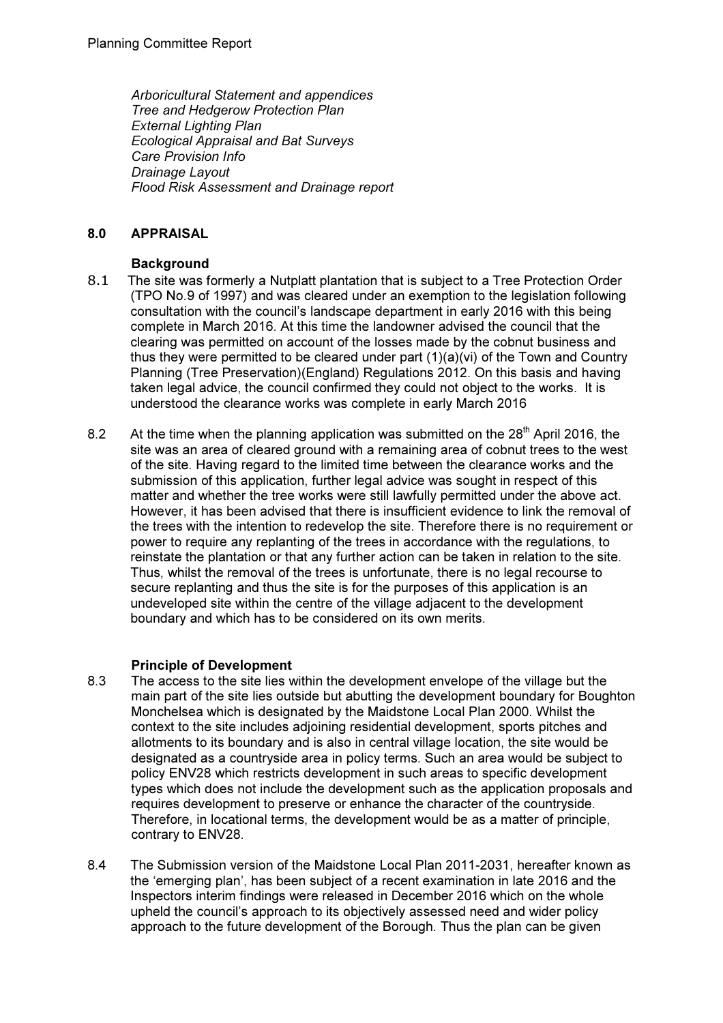Arboricultural Statement and appendices Tree and Hedgerow Protection Plan External Lighting Plan Ecological Appraisal and Bat Surveys Care Provision Info Drainage Layout Flood Risk Assessment and Drainage report

# 8.0 APPRAISAL

# **Background**

- 8.1 The site was formerly a Nutplatt plantation that is subject to a Tree Protection Order (TPO No.9 of 1997) and was cleared under an exemption to the legislation following consultation with the council's landscape department in early 2016 with this being complete in March 2016. At this time the landowner advised the council that the clearing was permitted on account of the losses made by the cobnut business and thus they were permitted to be cleared under part (1)(a)(vi) of the Town and Country Planning (Tree Preservation)(England) Regulations 2012. On this basis and having taken legal advice, the council confirmed they could not object to the works. It is understood the clearance works was complete in early March 2016
- 8.2 At the time when the planning application was submitted on the  $28<sup>th</sup>$  April 2016, the site was an area of cleared ground with a remaining area of cobnut trees to the west of the site. Having regard to the limited time between the clearance works and the submission of this application, further legal advice was sought in respect of this matter and whether the tree works were still lawfully permitted under the above act. However, it has been advised that there is insufficient evidence to link the removal of the trees with the intention to redevelop the site. Therefore there is no requirement or power to require any replanting of the trees in accordance with the regulations, to reinstate the plantation or that any further action can be taken in relation to the site. Thus, whilst the removal of the trees is unfortunate, there is no legal recourse to secure replanting and thus the site is for the purposes of this application is an undeveloped site within the centre of the village adjacent to the development boundary and which has to be considered on its own merits.

## Principle of Development

- 8.3 The access to the site lies within the development envelope of the village but the main part of the site lies outside but abutting the development boundary for Boughton Monchelsea which is designated by the Maidstone Local Plan 2000. Whilst the context to the site includes adjoining residential development, sports pitches and allotments to its boundary and is also in central village location, the site would be designated as a countryside area in policy terms. Such an area would be subject to policy ENV28 which restricts development in such areas to specific development types which does not include the development such as the application proposals and requires development to preserve or enhance the character of the countryside. Therefore, in locational terms, the development would be as a matter of principle, contrary to ENV28.
- 8.4 The Submission version of the Maidstone Local Plan 2011-2031, hereafter known as the 'emerging plan', has been subject of a recent examination in late 2016 and the Inspectors interim findings were released in December 2016 which on the whole upheld the council's approach to its objectively assessed need and wider policy approach to the future development of the Borough. Thus the plan can be given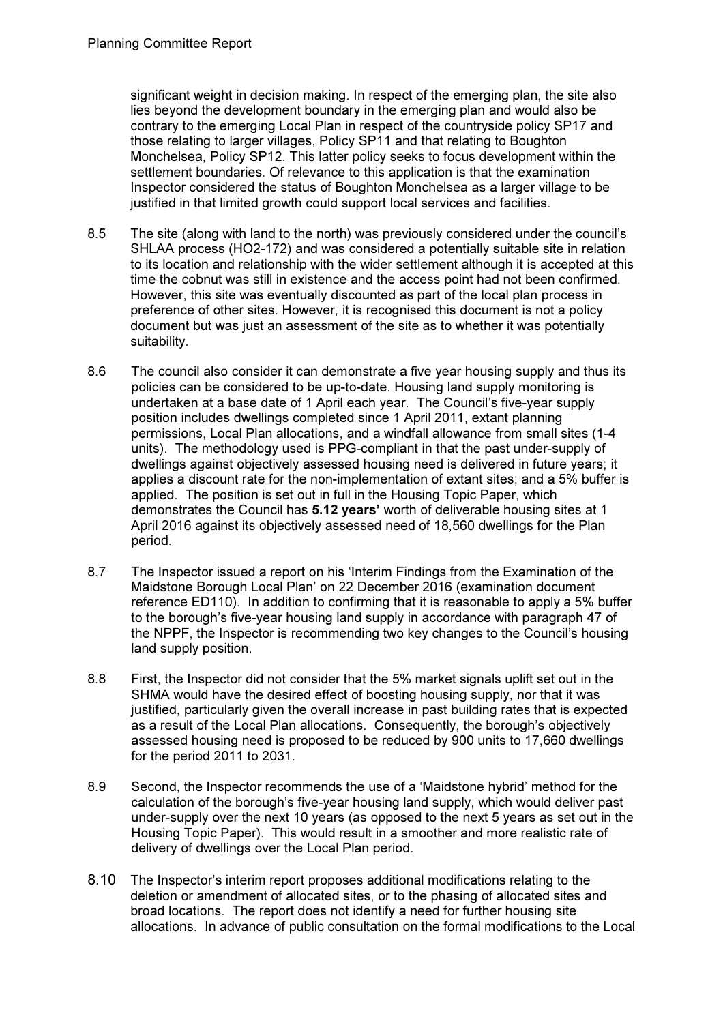significant weight in decision making. In respect of the emerging plan, the site also lies beyond the development boundary in the emerging plan and would also be contrary to the emerging Local Plan in respect of the countryside policy SP17 and those relating to larger villages, Policy SP11 and that relating to Boughton Monchelsea, Policy SP12. This latter policy seeks to focus development within the settlement boundaries. Of relevance to this application is that the examination Inspector considered the status of Boughton Monchelsea as a larger village to be justified in that limited growth could support local services and facilities.

- 8.5 The site (along with land to the north) was previously considered under the council's SHLAA process (HO2-172) and was considered a potentially suitable site in relation to its location and relationship with the wider settlement although it is accepted at this time the cobnut was still in existence and the access point had not been confirmed. However, this site was eventually discounted as part of the local plan process in preference of other sites. However, it is recognised this document is not a policy document but was just an assessment of the site as to whether it was potentially suitability.
- 8.6 The council also consider it can demonstrate a five year housing supply and thus its policies can be considered to be up-to-date. Housing land supply monitoring is undertaken at a base date of 1 April each year. The Council's five-year supply position includes dwellings completed since 1 April 2011, extant planning permissions, Local Plan allocations, and a windfall allowance from small sites (1-4 units). The methodology used is PPG-compliant in that the past under-supply of dwellings against objectively assessed housing need is delivered in future years; it applies a discount rate for the non-implementation of extant sites; and a 5% buffer is applied. The position is set out in full in the Housing Topic Paper, which demonstrates the Council has 5.12 years' worth of deliverable housing sites at 1 April 2016 against its objectively assessed need of 18,560 dwellings for the Plan period.
- 8.7 The Inspector issued a report on his 'Interim Findings from the Examination of the Maidstone Borough Local Plan' on 22 December 2016 (examination document reference ED110). In addition to confirming that it is reasonable to apply a 5% buffer to the borough's five-year housing land supply in accordance with paragraph 47 of the NPPF, the Inspector is recommending two key changes to the Council's housing land supply position.
- 8.8 First, the Inspector did not consider that the 5% market signals uplift set out in the SHMA would have the desired effect of boosting housing supply, nor that it was justified, particularly given the overall increase in past building rates that is expected as a result of the Local Plan allocations. Consequently, the borough's objectively assessed housing need is proposed to be reduced by 900 units to 17,660 dwellings for the period 2011 to 2031.
- 8.9 Second, the Inspector recommends the use of a 'Maidstone hybrid' method for the calculation of the borough's five-year housing land supply, which would deliver past under-supply over the next 10 years (as opposed to the next 5 years as set out in the Housing Topic Paper). This would result in a smoother and more realistic rate of delivery of dwellings over the Local Plan period.
- 8.10 The Inspector's interim report proposes additional modifications relating to the deletion or amendment of allocated sites, or to the phasing of allocated sites and broad locations. The report does not identify a need for further housing site allocations. In advance of public consultation on the formal modifications to the Local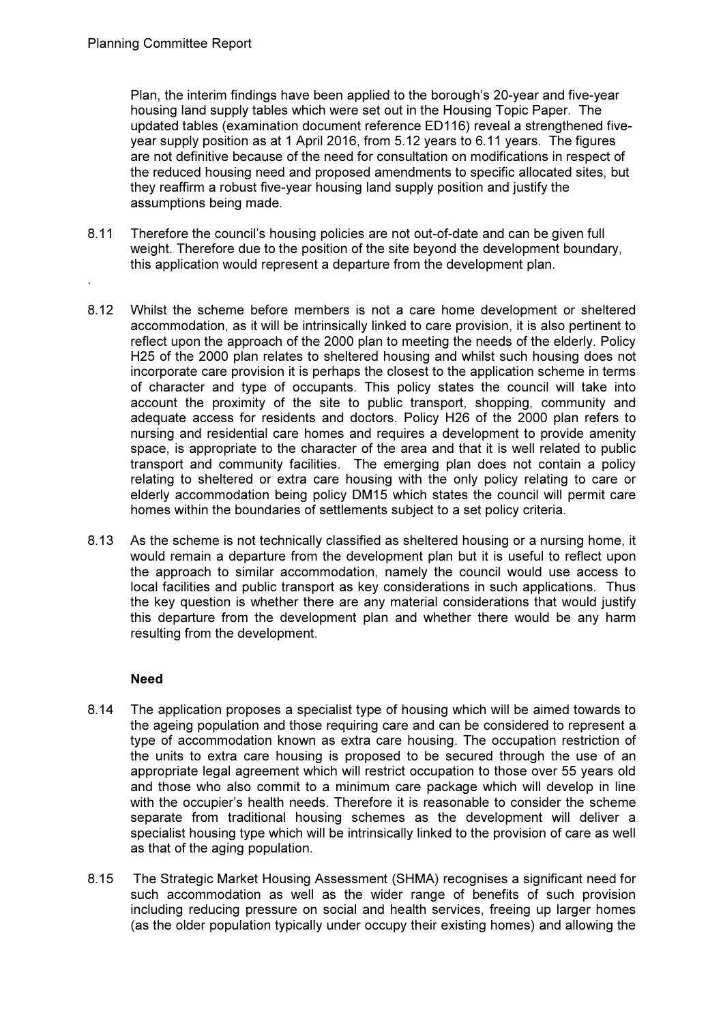.

Plan, the interim findings have been applied to the borough's 20-year and five-year housing land supply tables which were set out in the Housing Topic Paper. The updated tables (examination document reference ED116) reveal a strengthened fiveyear supply position as at 1 April 2016, from 5.12 years to 6.11 years. The figures are not definitive because of the need for consultation on modifications in respect of the reduced housing need and proposed amendments to specific allocated sites, but they reaffirm a robust five-year housing land supply position and justify the assumptions being made.

- 8.11 Therefore the council's housing policies are not out-of-date and can be given full weight. Therefore due to the position of the site beyond the development boundary, this application would represent a departure from the development plan.
- 8.12 Whilst the scheme before members is not a care home development or sheltered accommodation, as it will be intrinsically linked to care provision, it is also pertinent to reflect upon the approach of the 2000 plan to meeting the needs of the elderly. Policy H25 of the 2000 plan relates to sheltered housing and whilst such housing does not incorporate care provision it is perhaps the closest to the application scheme in terms of character and type of occupants. This policy states the council will take into account the proximity of the site to public transport, shopping, community and adequate access for residents and doctors. Policy H26 of the 2000 plan refers to nursing and residential care homes and requires a development to provide amenity space, is appropriate to the character of the area and that it is well related to public transport and community facilities. The emerging plan does not contain a policy relating to sheltered or extra care housing with the only policy relating to care or elderly accommodation being policy DM15 which states the council will permit care homes within the boundaries of settlements subject to a set policy criteria.
- 8.13 As the scheme is not technically classified as sheltered housing or a nursing home, it would remain a departure from the development plan but it is useful to reflect upon the approach to similar accommodation, namely the council would use access to local facilities and public transport as key considerations in such applications. Thus the key question is whether there are any material considerations that would justify this departure from the development plan and whether there would be any harm resulting from the development.

## Need

- 8.14 The application proposes a specialist type of housing which will be aimed towards to the ageing population and those requiring care and can be considered to represent a type of accommodation known as extra care housing. The occupation restriction of the units to extra care housing is proposed to be secured through the use of an appropriate legal agreement which will restrict occupation to those over 55 years old and those who also commit to a minimum care package which will develop in line with the occupier's health needs. Therefore it is reasonable to consider the scheme separate from traditional housing schemes as the development will deliver a specialist housing type which will be intrinsically linked to the provision of care as well as that of the aging population.
- 8.15 The Strategic Market Housing Assessment (SHMA) recognises a significant need for such accommodation as well as the wider range of benefits of such provision including reducing pressure on social and health services, freeing up larger homes (as the older population typically under occupy their existing homes) and allowing the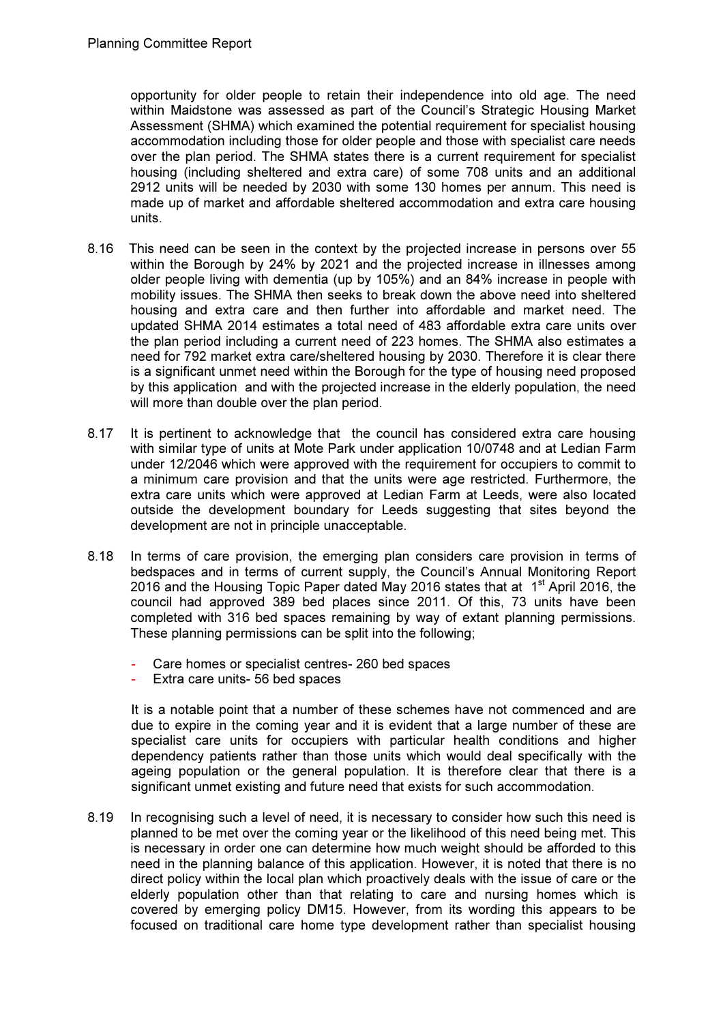opportunity for older people to retain their independence into old age. The need within Maidstone was assessed as part of the Council's Strategic Housing Market Assessment (SHMA) which examined the potential requirement for specialist housing accommodation including those for older people and those with specialist care needs over the plan period. The SHMA states there is a current requirement for specialist housing (including sheltered and extra care) of some 708 units and an additional 2912 units will be needed by 2030 with some 130 homes per annum. This need is made up of market and affordable sheltered accommodation and extra care housing units.

- 8.16 This need can be seen in the context by the projected increase in persons over 55 within the Borough by 24% by 2021 and the projected increase in illnesses among older people living with dementia (up by 105%) and an 84% increase in people with mobility issues. The SHMA then seeks to break down the above need into sheltered housing and extra care and then further into affordable and market need. The updated SHMA 2014 estimates a total need of 483 affordable extra care units over the plan period including a current need of 223 homes. The SHMA also estimates a need for 792 market extra care/sheltered housing by 2030. Therefore it is clear there is a significant unmet need within the Borough for the type of housing need proposed by this application and with the projected increase in the elderly population, the need will more than double over the plan period.
- 8.17 It is pertinent to acknowledge that the council has considered extra care housing with similar type of units at Mote Park under application 10/0748 and at Ledian Farm under 12/2046 which were approved with the requirement for occupiers to commit to a minimum care provision and that the units were age restricted. Furthermore, the extra care units which were approved at Ledian Farm at Leeds, were also located outside the development boundary for Leeds suggesting that sites beyond the development are not in principle unacceptable.
- 8.18 In terms of care provision, the emerging plan considers care provision in terms of bedspaces and in terms of current supply, the Council's Annual Monitoring Report 2016 and the Housing Topic Paper dated May 2016 states that at  $1<sup>st</sup>$  April 2016, the council had approved 389 bed places since 2011. Of this, 73 units have been completed with 316 bed spaces remaining by way of extant planning permissions. These planning permissions can be split into the following;
	- Care homes or specialist centres- 260 bed spaces
	- Extra care units- 56 bed spaces

It is a notable point that a number of these schemes have not commenced and are due to expire in the coming year and it is evident that a large number of these are specialist care units for occupiers with particular health conditions and higher dependency patients rather than those units which would deal specifically with the ageing population or the general population. It is therefore clear that there is a significant unmet existing and future need that exists for such accommodation.

8.19 In recognising such a level of need, it is necessary to consider how such this need is planned to be met over the coming year or the likelihood of this need being met. This is necessary in order one can determine how much weight should be afforded to this need in the planning balance of this application. However, it is noted that there is no direct policy within the local plan which proactively deals with the issue of care or the elderly population other than that relating to care and nursing homes which is covered by emerging policy DM15. However, from its wording this appears to be focused on traditional care home type development rather than specialist housing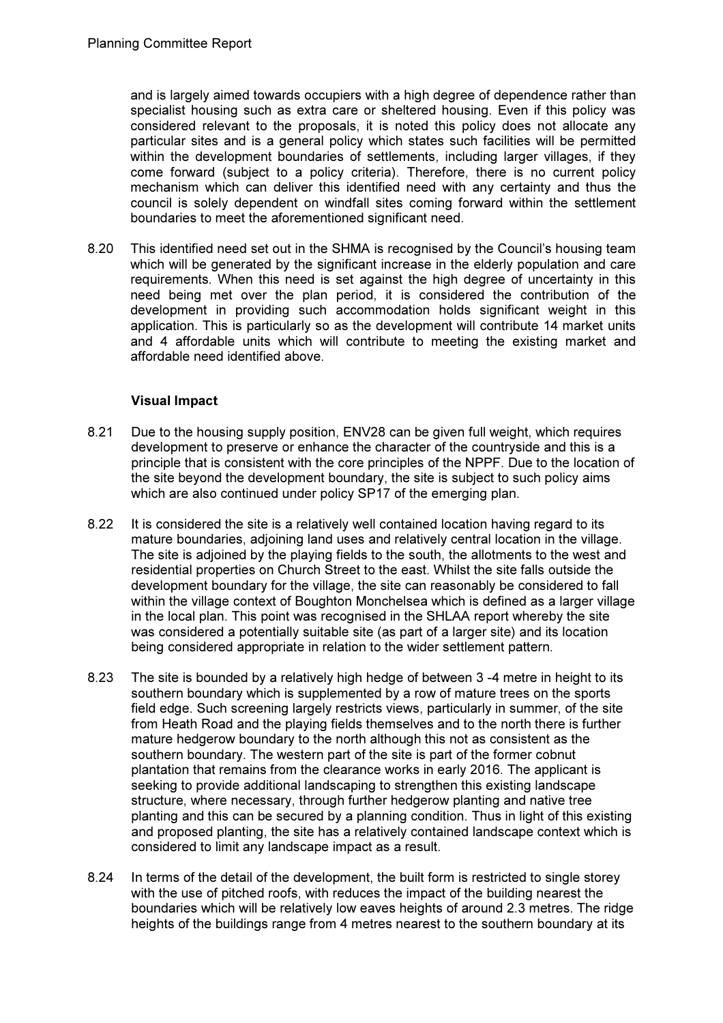and is largely aimed towards occupiers with a high degree of dependence rather than specialist housing such as extra care or sheltered housing. Even if this policy was considered relevant to the proposals, it is noted this policy does not allocate any particular sites and is a general policy which states such facilities will be permitted within the development boundaries of settlements, including larger villages, if they come forward (subject to a policy criteria). Therefore, there is no current policy mechanism which can deliver this identified need with any certainty and thus the council is solely dependent on windfall sites coming forward within the settlement boundaries to meet the aforementioned significant need.

8.20 This identified need set out in the SHMA is recognised by the Council's housing team which will be generated by the significant increase in the elderly population and care requirements. When this need is set against the high degree of uncertainty in this need being met over the plan period, it is considered the contribution of the development in providing such accommodation holds significant weight in this application. This is particularly so as the development will contribute 14 market units and 4 affordable units which will contribute to meeting the existing market and affordable need identified above.

# Visual Impact

- 8.21 Due to the housing supply position, ENV28 can be given full weight, which requires development to preserve or enhance the character of the countryside and this is a principle that is consistent with the core principles of the NPPF. Due to the location of the site beyond the development boundary, the site is subject to such policy aims which are also continued under policy SP17 of the emerging plan.
- 8.22 It is considered the site is a relatively well contained location having regard to its mature boundaries, adjoining land uses and relatively central location in the village. The site is adjoined by the playing fields to the south, the allotments to the west and residential properties on Church Street to the east. Whilst the site falls outside the development boundary for the village, the site can reasonably be considered to fall within the village context of Boughton Monchelsea which is defined as a larger village in the local plan. This point was recognised in the SHLAA report whereby the site was considered a potentially suitable site (as part of a larger site) and its location being considered appropriate in relation to the wider settlement pattern.
- 8.23 The site is bounded by a relatively high hedge of between 3 -4 metre in height to its southern boundary which is supplemented by a row of mature trees on the sports field edge. Such screening largely restricts views, particularly in summer, of the site from Heath Road and the playing fields themselves and to the north there is further mature hedgerow boundary to the north although this not as consistent as the southern boundary. The western part of the site is part of the former cobnut plantation that remains from the clearance works in early 2016. The applicant is seeking to provide additional landscaping to strengthen this existing landscape structure, where necessary, through further hedgerow planting and native tree planting and this can be secured by a planning condition. Thus in light of this existing and proposed planting, the site has a relatively contained landscape context which is considered to limit any landscape impact as a result.
- 8.24 In terms of the detail of the development, the built form is restricted to single storey with the use of pitched roofs, with reduces the impact of the building nearest the boundaries which will be relatively low eaves heights of around 2.3 metres. The ridge heights of the buildings range from 4 metres nearest to the southern boundary at its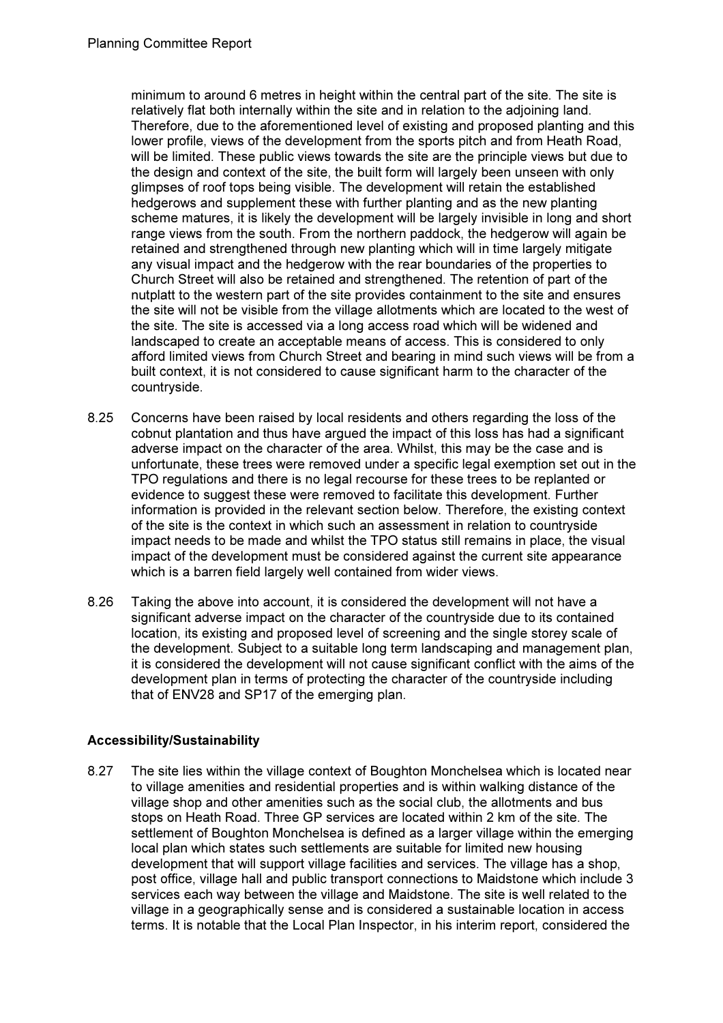minimum to around 6 metres in height within the central part of the site. The site is relatively flat both internally within the site and in relation to the adjoining land. Therefore, due to the aforementioned level of existing and proposed planting and this lower profile, views of the development from the sports pitch and from Heath Road, will be limited. These public views towards the site are the principle views but due to the design and context of the site, the built form will largely been unseen with only glimpses of roof tops being visible. The development will retain the established hedgerows and supplement these with further planting and as the new planting scheme matures, it is likely the development will be largely invisible in long and short range views from the south. From the northern paddock, the hedgerow will again be retained and strengthened through new planting which will in time largely mitigate any visual impact and the hedgerow with the rear boundaries of the properties to Church Street will also be retained and strengthened. The retention of part of the nutplatt to the western part of the site provides containment to the site and ensures the site will not be visible from the village allotments which are located to the west of the site. The site is accessed via a long access road which will be widened and landscaped to create an acceptable means of access. This is considered to only afford limited views from Church Street and bearing in mind such views will be from a built context, it is not considered to cause significant harm to the character of the countryside.

- 8.25 Concerns have been raised by local residents and others regarding the loss of the cobnut plantation and thus have argued the impact of this loss has had a significant adverse impact on the character of the area. Whilst, this may be the case and is unfortunate, these trees were removed under a specific legal exemption set out in the TPO regulations and there is no legal recourse for these trees to be replanted or evidence to suggest these were removed to facilitate this development. Further information is provided in the relevant section below. Therefore, the existing context of the site is the context in which such an assessment in relation to countryside impact needs to be made and whilst the TPO status still remains in place, the visual impact of the development must be considered against the current site appearance which is a barren field largely well contained from wider views.
- 8.26 Taking the above into account, it is considered the development will not have a significant adverse impact on the character of the countryside due to its contained location, its existing and proposed level of screening and the single storey scale of the development. Subject to a suitable long term landscaping and management plan, it is considered the development will not cause significant conflict with the aims of the development plan in terms of protecting the character of the countryside including that of ENV28 and SP17 of the emerging plan.

# Accessibility/Sustainability

8.27 The site lies within the village context of Boughton Monchelsea which is located near to village amenities and residential properties and is within walking distance of the village shop and other amenities such as the social club, the allotments and bus stops on Heath Road. Three GP services are located within 2 km of the site. The settlement of Boughton Monchelsea is defined as a larger village within the emerging local plan which states such settlements are suitable for limited new housing development that will support village facilities and services. The village has a shop, post office, village hall and public transport connections to Maidstone which include 3 services each way between the village and Maidstone. The site is well related to the village in a geographically sense and is considered a sustainable location in access terms. It is notable that the Local Plan Inspector, in his interim report, considered the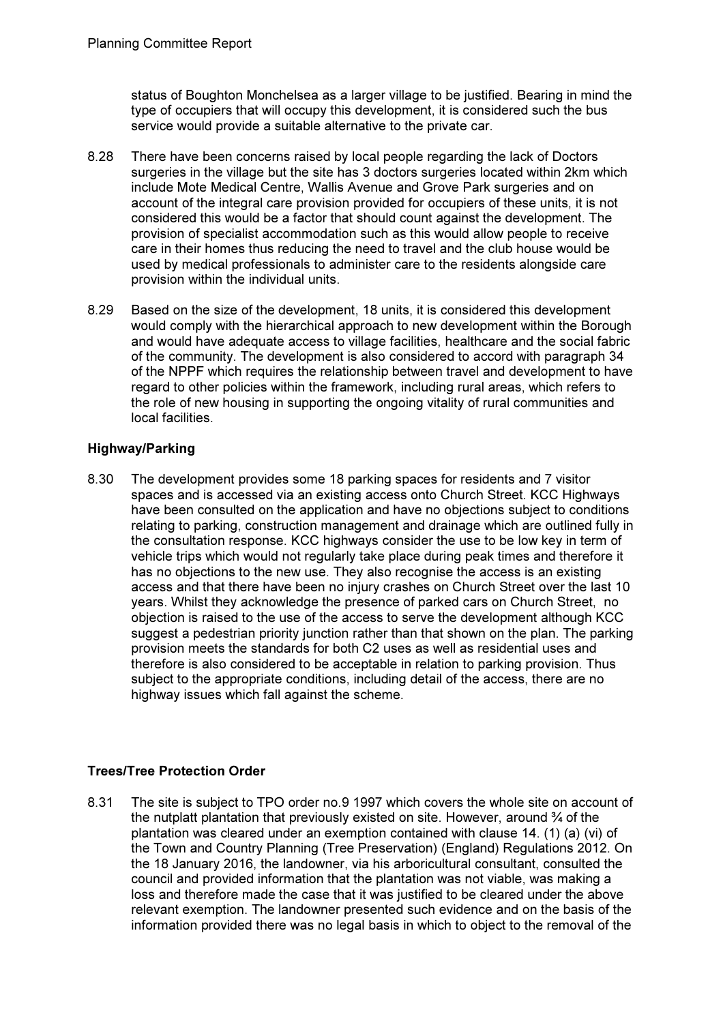status of Boughton Monchelsea as a larger village to be justified. Bearing in mind the type of occupiers that will occupy this development, it is considered such the bus service would provide a suitable alternative to the private car.

- 8.28 There have been concerns raised by local people regarding the lack of Doctors surgeries in the village but the site has 3 doctors surgeries located within 2km which include Mote Medical Centre, Wallis Avenue and Grove Park surgeries and on account of the integral care provision provided for occupiers of these units, it is not considered this would be a factor that should count against the development. The provision of specialist accommodation such as this would allow people to receive care in their homes thus reducing the need to travel and the club house would be used by medical professionals to administer care to the residents alongside care provision within the individual units.
- 8.29 Based on the size of the development, 18 units, it is considered this development would comply with the hierarchical approach to new development within the Borough and would have adequate access to village facilities, healthcare and the social fabric of the community. The development is also considered to accord with paragraph 34 of the NPPF which requires the relationship between travel and development to have regard to other policies within the framework, including rural areas, which refers to the role of new housing in supporting the ongoing vitality of rural communities and local facilities.

# Highway/Parking

8.30 The development provides some 18 parking spaces for residents and 7 visitor spaces and is accessed via an existing access onto Church Street. KCC Highways have been consulted on the application and have no objections subject to conditions relating to parking, construction management and drainage which are outlined fully in the consultation response. KCC highways consider the use to be low key in term of vehicle trips which would not regularly take place during peak times and therefore it has no objections to the new use. They also recognise the access is an existing access and that there have been no injury crashes on Church Street over the last 10 years. Whilst they acknowledge the presence of parked cars on Church Street, no objection is raised to the use of the access to serve the development although KCC suggest a pedestrian priority junction rather than that shown on the plan. The parking provision meets the standards for both C2 uses as well as residential uses and therefore is also considered to be acceptable in relation to parking provision. Thus subject to the appropriate conditions, including detail of the access, there are no highway issues which fall against the scheme.

# Trees/Tree Protection Order

8.31 The site is subject to TPO order no.9 1997 which covers the whole site on account of the nutplatt plantation that previously existed on site. However, around ¾ of the plantation was cleared under an exemption contained with clause 14. (1) (a) (vi) of the Town and Country Planning (Tree Preservation) (England) Regulations 2012. On the 18 January 2016, the landowner, via his arboricultural consultant, consulted the council and provided information that the plantation was not viable, was making a loss and therefore made the case that it was justified to be cleared under the above relevant exemption. The landowner presented such evidence and on the basis of the information provided there was no legal basis in which to object to the removal of the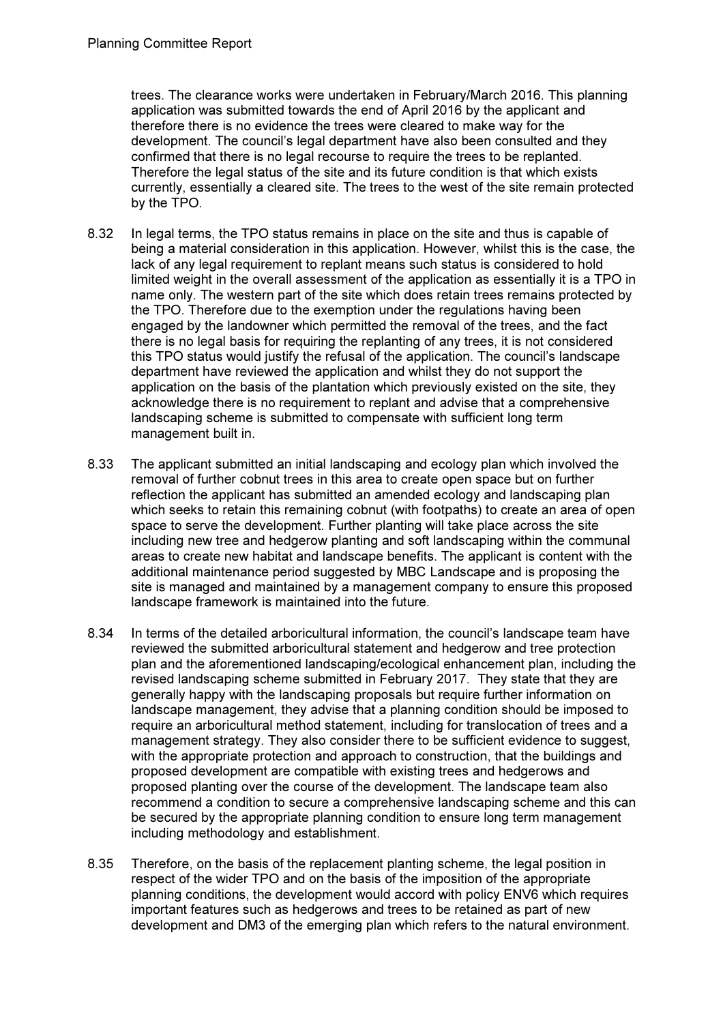trees. The clearance works were undertaken in February/March 2016. This planning application was submitted towards the end of April 2016 by the applicant and therefore there is no evidence the trees were cleared to make way for the development. The council's legal department have also been consulted and they confirmed that there is no legal recourse to require the trees to be replanted. Therefore the legal status of the site and its future condition is that which exists currently, essentially a cleared site. The trees to the west of the site remain protected by the TPO.

- 8.32 In legal terms, the TPO status remains in place on the site and thus is capable of being a material consideration in this application. However, whilst this is the case, the lack of any legal requirement to replant means such status is considered to hold limited weight in the overall assessment of the application as essentially it is a TPO in name only. The western part of the site which does retain trees remains protected by the TPO. Therefore due to the exemption under the regulations having been engaged by the landowner which permitted the removal of the trees, and the fact there is no legal basis for requiring the replanting of any trees, it is not considered this TPO status would justify the refusal of the application. The council's landscape department have reviewed the application and whilst they do not support the application on the basis of the plantation which previously existed on the site, they acknowledge there is no requirement to replant and advise that a comprehensive landscaping scheme is submitted to compensate with sufficient long term management built in.
- 8.33 The applicant submitted an initial landscaping and ecology plan which involved the removal of further cobnut trees in this area to create open space but on further reflection the applicant has submitted an amended ecology and landscaping plan which seeks to retain this remaining cobnut (with footpaths) to create an area of open space to serve the development. Further planting will take place across the site including new tree and hedgerow planting and soft landscaping within the communal areas to create new habitat and landscape benefits. The applicant is content with the additional maintenance period suggested by MBC Landscape and is proposing the site is managed and maintained by a management company to ensure this proposed landscape framework is maintained into the future.
- 8.34 In terms of the detailed arboricultural information, the council's landscape team have reviewed the submitted arboricultural statement and hedgerow and tree protection plan and the aforementioned landscaping/ecological enhancement plan, including the revised landscaping scheme submitted in February 2017. They state that they are generally happy with the landscaping proposals but require further information on landscape management, they advise that a planning condition should be imposed to require an arboricultural method statement, including for translocation of trees and a management strategy. They also consider there to be sufficient evidence to suggest, with the appropriate protection and approach to construction, that the buildings and proposed development are compatible with existing trees and hedgerows and proposed planting over the course of the development. The landscape team also recommend a condition to secure a comprehensive landscaping scheme and this can be secured by the appropriate planning condition to ensure long term management including methodology and establishment.
- 8.35 Therefore, on the basis of the replacement planting scheme, the legal position in respect of the wider TPO and on the basis of the imposition of the appropriate planning conditions, the development would accord with policy ENV6 which requires important features such as hedgerows and trees to be retained as part of new development and DM3 of the emerging plan which refers to the natural environment.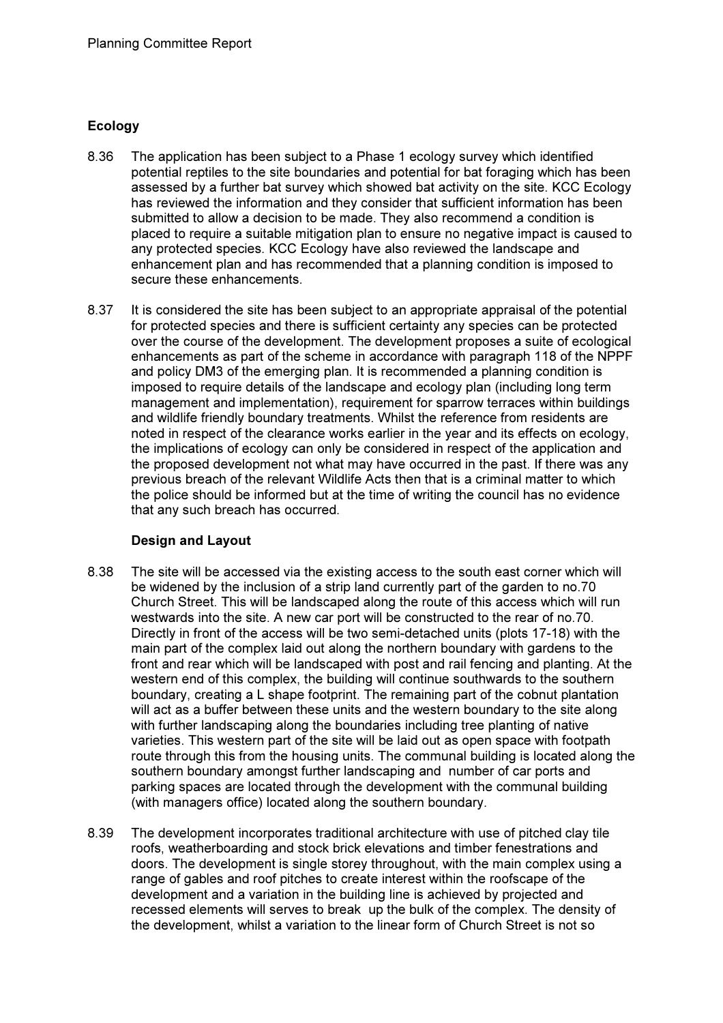# Ecology

- 8.36 The application has been subject to a Phase 1 ecology survey which identified potential reptiles to the site boundaries and potential for bat foraging which has been assessed by a further bat survey which showed bat activity on the site. KCC Ecology has reviewed the information and they consider that sufficient information has been submitted to allow a decision to be made. They also recommend a condition is placed to require a suitable mitigation plan to ensure no negative impact is caused to any protected species. KCC Ecology have also reviewed the landscape and enhancement plan and has recommended that a planning condition is imposed to secure these enhancements.
- 8.37 It is considered the site has been subject to an appropriate appraisal of the potential for protected species and there is sufficient certainty any species can be protected over the course of the development. The development proposes a suite of ecological enhancements as part of the scheme in accordance with paragraph 118 of the NPPF and policy DM3 of the emerging plan. It is recommended a planning condition is imposed to require details of the landscape and ecology plan (including long term management and implementation), requirement for sparrow terraces within buildings and wildlife friendly boundary treatments. Whilst the reference from residents are noted in respect of the clearance works earlier in the year and its effects on ecology, the implications of ecology can only be considered in respect of the application and the proposed development not what may have occurred in the past. If there was any previous breach of the relevant Wildlife Acts then that is a criminal matter to which the police should be informed but at the time of writing the council has no evidence that any such breach has occurred.

## Design and Layout

- 8.38 The site will be accessed via the existing access to the south east corner which will be widened by the inclusion of a strip land currently part of the garden to no.70 Church Street. This will be landscaped along the route of this access which will run westwards into the site. A new car port will be constructed to the rear of no.70. Directly in front of the access will be two semi-detached units (plots 17-18) with the main part of the complex laid out along the northern boundary with gardens to the front and rear which will be landscaped with post and rail fencing and planting. At the western end of this complex, the building will continue southwards to the southern boundary, creating a L shape footprint. The remaining part of the cobnut plantation will act as a buffer between these units and the western boundary to the site along with further landscaping along the boundaries including tree planting of native varieties. This western part of the site will be laid out as open space with footpath route through this from the housing units. The communal building is located along the southern boundary amongst further landscaping and number of car ports and parking spaces are located through the development with the communal building (with managers office) located along the southern boundary.
- 8.39 The development incorporates traditional architecture with use of pitched clay tile roofs, weatherboarding and stock brick elevations and timber fenestrations and doors. The development is single storey throughout, with the main complex using a range of gables and roof pitches to create interest within the roofscape of the development and a variation in the building line is achieved by projected and recessed elements will serves to break up the bulk of the complex. The density of the development, whilst a variation to the linear form of Church Street is not so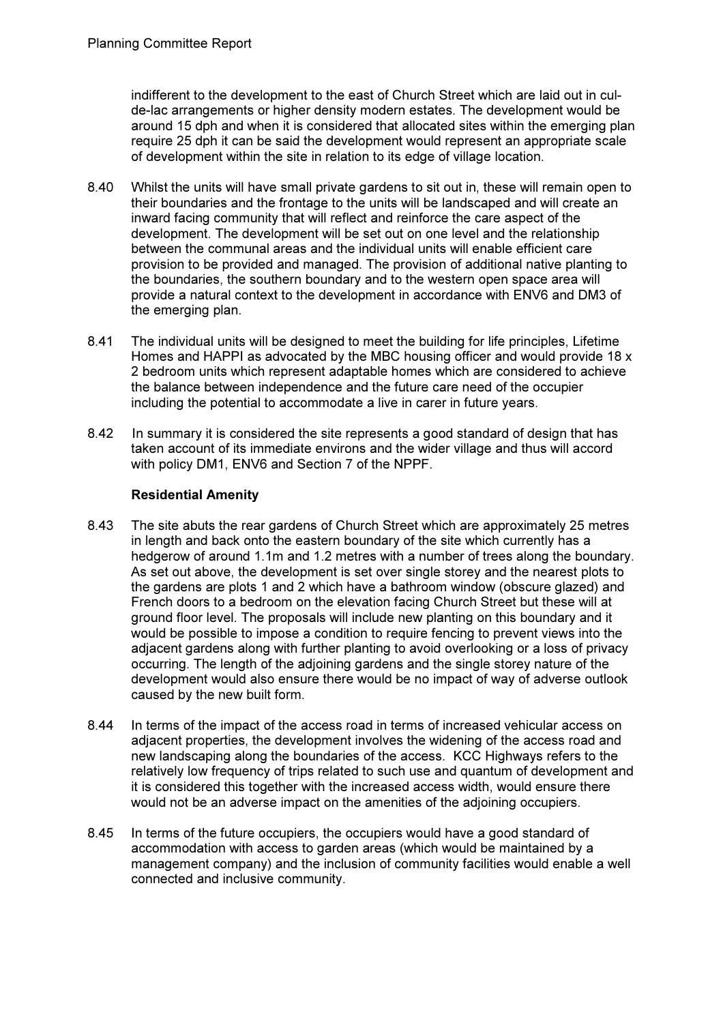indifferent to the development to the east of Church Street which are laid out in culde-lac arrangements or higher density modern estates. The development would be around 15 dph and when it is considered that allocated sites within the emerging plan require 25 dph it can be said the development would represent an appropriate scale of development within the site in relation to its edge of village location.

- 8.40 Whilst the units will have small private gardens to sit out in, these will remain open to their boundaries and the frontage to the units will be landscaped and will create an inward facing community that will reflect and reinforce the care aspect of the development. The development will be set out on one level and the relationship between the communal areas and the individual units will enable efficient care provision to be provided and managed. The provision of additional native planting to the boundaries, the southern boundary and to the western open space area will provide a natural context to the development in accordance with ENV6 and DM3 of the emerging plan.
- 8.41 The individual units will be designed to meet the building for life principles, Lifetime Homes and HAPPI as advocated by the MBC housing officer and would provide 18 x 2 bedroom units which represent adaptable homes which are considered to achieve the balance between independence and the future care need of the occupier including the potential to accommodate a live in carer in future years.
- 8.42 In summary it is considered the site represents a good standard of design that has taken account of its immediate environs and the wider village and thus will accord with policy DM1, ENV6 and Section 7 of the NPPF.

# Residential Amenity

- 8.43 The site abuts the rear gardens of Church Street which are approximately 25 metres in length and back onto the eastern boundary of the site which currently has a hedgerow of around 1.1m and 1.2 metres with a number of trees along the boundary. As set out above, the development is set over single storey and the nearest plots to the gardens are plots 1 and 2 which have a bathroom window (obscure glazed) and French doors to a bedroom on the elevation facing Church Street but these will at ground floor level. The proposals will include new planting on this boundary and it would be possible to impose a condition to require fencing to prevent views into the adjacent gardens along with further planting to avoid overlooking or a loss of privacy occurring. The length of the adjoining gardens and the single storey nature of the development would also ensure there would be no impact of way of adverse outlook caused by the new built form.
- 8.44 In terms of the impact of the access road in terms of increased vehicular access on adjacent properties, the development involves the widening of the access road and new landscaping along the boundaries of the access. KCC Highways refers to the relatively low frequency of trips related to such use and quantum of development and it is considered this together with the increased access width, would ensure there would not be an adverse impact on the amenities of the adjoining occupiers.
- 8.45 In terms of the future occupiers, the occupiers would have a good standard of accommodation with access to garden areas (which would be maintained by a management company) and the inclusion of community facilities would enable a well connected and inclusive community.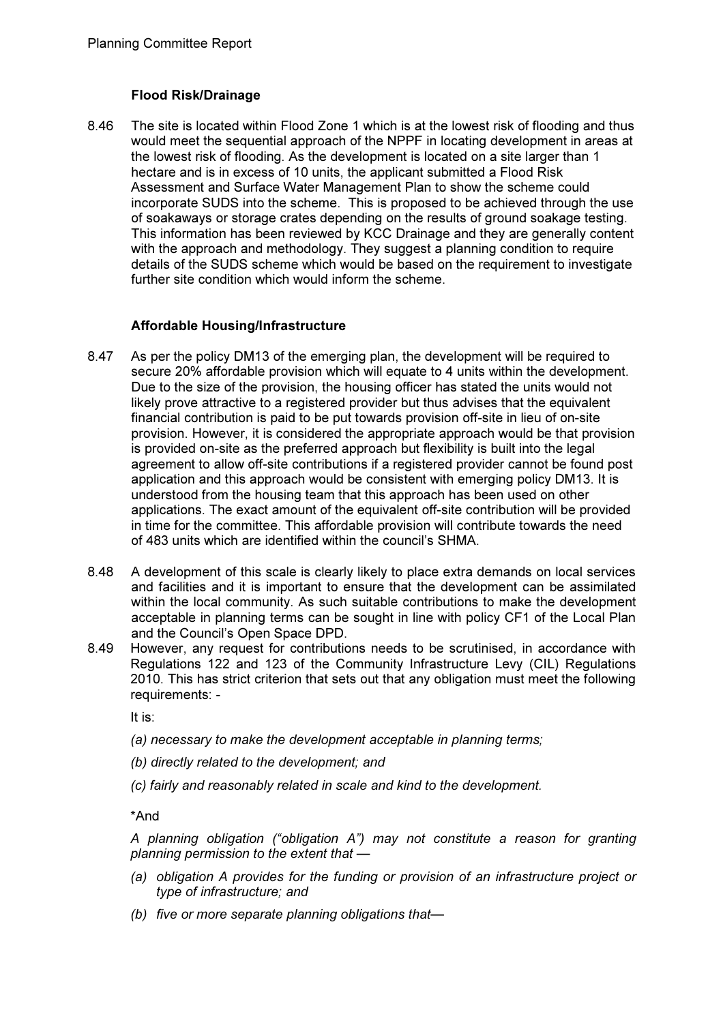# Flood Risk/Drainage

8.46 The site is located within Flood Zone 1 which is at the lowest risk of flooding and thus would meet the sequential approach of the NPPF in locating development in areas at the lowest risk of flooding. As the development is located on a site larger than 1 hectare and is in excess of 10 units, the applicant submitted a Flood Risk Assessment and Surface Water Management Plan to show the scheme could incorporate SUDS into the scheme. This is proposed to be achieved through the use of soakaways or storage crates depending on the results of ground soakage testing. This information has been reviewed by KCC Drainage and they are generally content with the approach and methodology. They suggest a planning condition to require details of the SUDS scheme which would be based on the requirement to investigate further site condition which would inform the scheme.

# Affordable Housing/Infrastructure

- 8.47 As per the policy DM13 of the emerging plan, the development will be required to secure 20% affordable provision which will equate to 4 units within the development. Due to the size of the provision, the housing officer has stated the units would not likely prove attractive to a registered provider but thus advises that the equivalent financial contribution is paid to be put towards provision off-site in lieu of on-site provision. However, it is considered the appropriate approach would be that provision is provided on-site as the preferred approach but flexibility is built into the legal agreement to allow off-site contributions if a registered provider cannot be found post application and this approach would be consistent with emerging policy DM13. It is understood from the housing team that this approach has been used on other applications. The exact amount of the equivalent off-site contribution will be provided in time for the committee. This affordable provision will contribute towards the need of 483 units which are identified within the council's SHMA.
- 8.48 A development of this scale is clearly likely to place extra demands on local services and facilities and it is important to ensure that the development can be assimilated within the local community. As such suitable contributions to make the development acceptable in planning terms can be sought in line with policy CF1 of the Local Plan and the Council's Open Space DPD.
- 8.49 However, any request for contributions needs to be scrutinised, in accordance with Regulations 122 and 123 of the Community Infrastructure Levy (CIL) Regulations 2010. This has strict criterion that sets out that any obligation must meet the following requirements: -

It is:

- (a) necessary to make the development acceptable in planning terms;
- (b) directly related to the development; and
- (c) fairly and reasonably related in scale and kind to the development.

\*And

A planning obligation ("obligation A") may not constitute a reason for granting planning permission to the extent that —

- (a) obligation A provides for the funding or provision of an infrastructure project or type of infrastructure; and
- (b) five or more separate planning obligations that-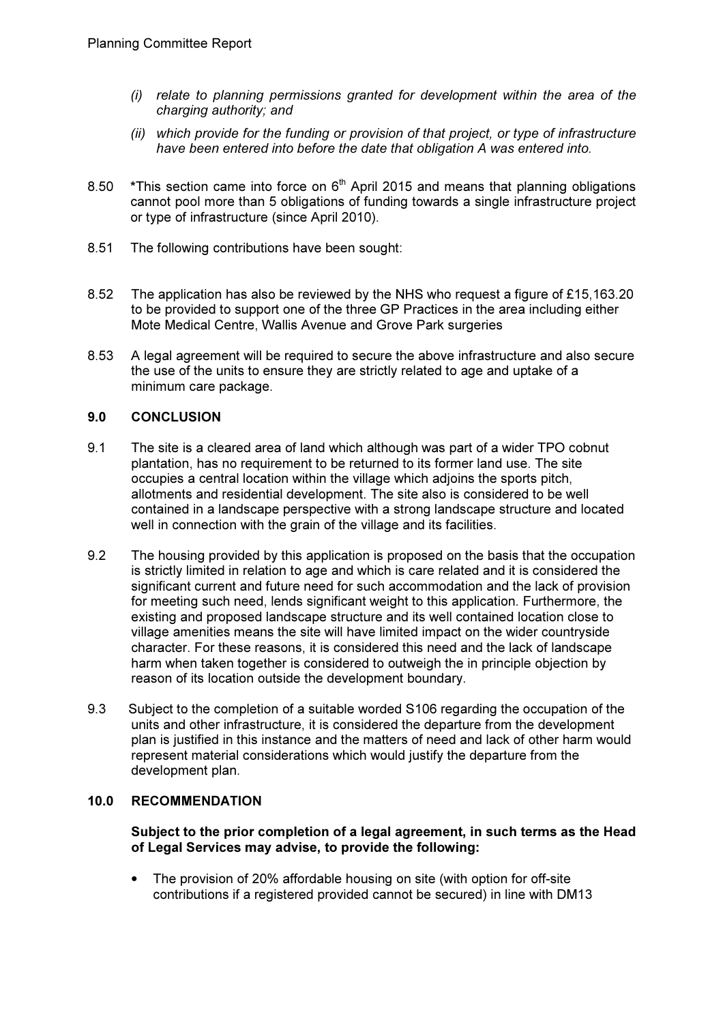- (i) relate to planning permissions granted for development within the area of the charging authority; and
- (ii) which provide for the funding or provision of that project, or type of infrastructure have been entered into before the date that obligation A was entered into.
- 8.50  $*$ This section came into force on  $6<sup>th</sup>$  April 2015 and means that planning obligations cannot pool more than 5 obligations of funding towards a single infrastructure project or type of infrastructure (since April 2010).
- 8.51 The following contributions have been sought:
- 8.52 The application has also be reviewed by the NHS who request a figure of £15,163.20 to be provided to support one of the three GP Practices in the area including either Mote Medical Centre, Wallis Avenue and Grove Park surgeries
- 8.53 A legal agreement will be required to secure the above infrastructure and also secure the use of the units to ensure they are strictly related to age and uptake of a minimum care package.

# 9.0 CONCLUSION

- 9.1 The site is a cleared area of land which although was part of a wider TPO cobnut plantation, has no requirement to be returned to its former land use. The site occupies a central location within the village which adjoins the sports pitch, allotments and residential development. The site also is considered to be well contained in a landscape perspective with a strong landscape structure and located well in connection with the grain of the village and its facilities.
- 9.2 The housing provided by this application is proposed on the basis that the occupation is strictly limited in relation to age and which is care related and it is considered the significant current and future need for such accommodation and the lack of provision for meeting such need, lends significant weight to this application. Furthermore, the existing and proposed landscape structure and its well contained location close to village amenities means the site will have limited impact on the wider countryside character. For these reasons, it is considered this need and the lack of landscape harm when taken together is considered to outweigh the in principle objection by reason of its location outside the development boundary.
- 9.3 Subject to the completion of a suitable worded S106 regarding the occupation of the units and other infrastructure, it is considered the departure from the development plan is justified in this instance and the matters of need and lack of other harm would represent material considerations which would justify the departure from the development plan.

## 10.0 RECOMMENDATION

Subject to the prior completion of a legal agreement, in such terms as the Head of Legal Services may advise, to provide the following:

• The provision of 20% affordable housing on site (with option for off-site contributions if a registered provided cannot be secured) in line with DM13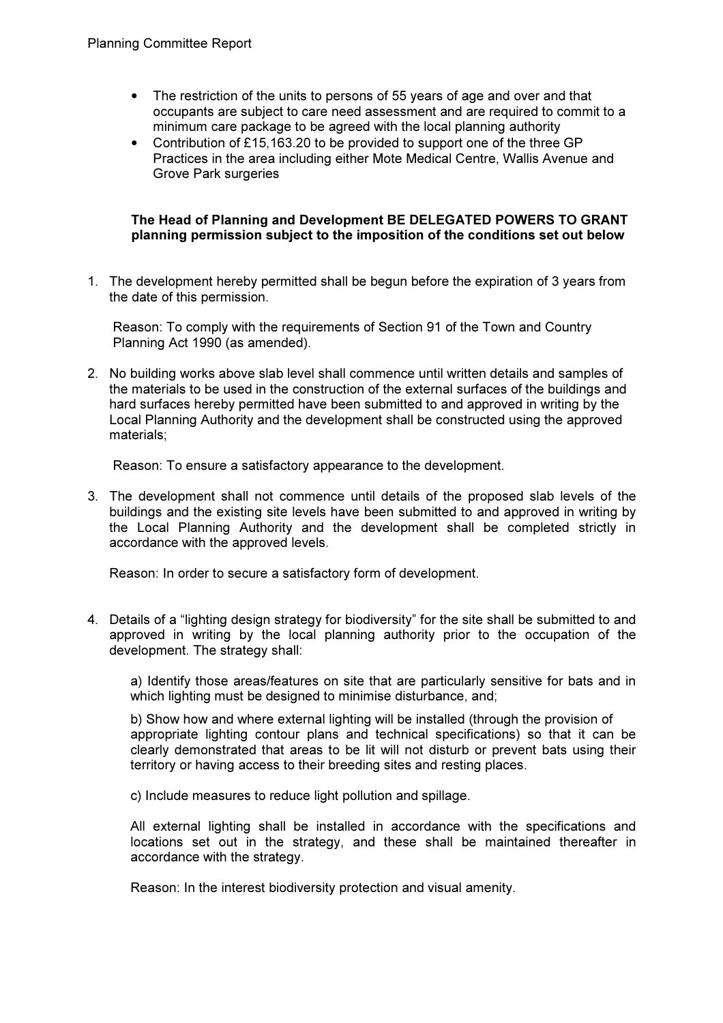- The restriction of the units to persons of 55 years of age and over and that occupants are subject to care need assessment and are required to commit to a minimum care package to be agreed with the local planning authority
- Contribution of £15,163.20 to be provided to support one of the three GP Practices in the area including either Mote Medical Centre, Wallis Avenue and Grove Park surgeries

## The Head of Planning and Development BE DELEGATED POWERS TO GRANT planning permission subject to the imposition of the conditions set out below

1. The development hereby permitted shall be begun before the expiration of 3 years from the date of this permission.

Reason: To comply with the requirements of Section 91 of the Town and Country Planning Act 1990 (as amended).

2. No building works above slab level shall commence until written details and samples of the materials to be used in the construction of the external surfaces of the buildings and hard surfaces hereby permitted have been submitted to and approved in writing by the Local Planning Authority and the development shall be constructed using the approved materials;

Reason: To ensure a satisfactory appearance to the development.

3. The development shall not commence until details of the proposed slab levels of the buildings and the existing site levels have been submitted to and approved in writing by the Local Planning Authority and the development shall be completed strictly in accordance with the approved levels.

Reason: In order to secure a satisfactory form of development.

4. Details of a "lighting design strategy for biodiversity" for the site shall be submitted to and approved in writing by the local planning authority prior to the occupation of the development. The strategy shall:

a) Identify those areas/features on site that are particularly sensitive for bats and in which lighting must be designed to minimise disturbance, and;

b) Show how and where external lighting will be installed (through the provision of appropriate lighting contour plans and technical specifications) so that it can be clearly demonstrated that areas to be lit will not disturb or prevent bats using their territory or having access to their breeding sites and resting places.

c) Include measures to reduce light pollution and spillage.

All external lighting shall be installed in accordance with the specifications and locations set out in the strategy, and these shall be maintained thereafter in accordance with the strategy.

Reason: In the interest biodiversity protection and visual amenity.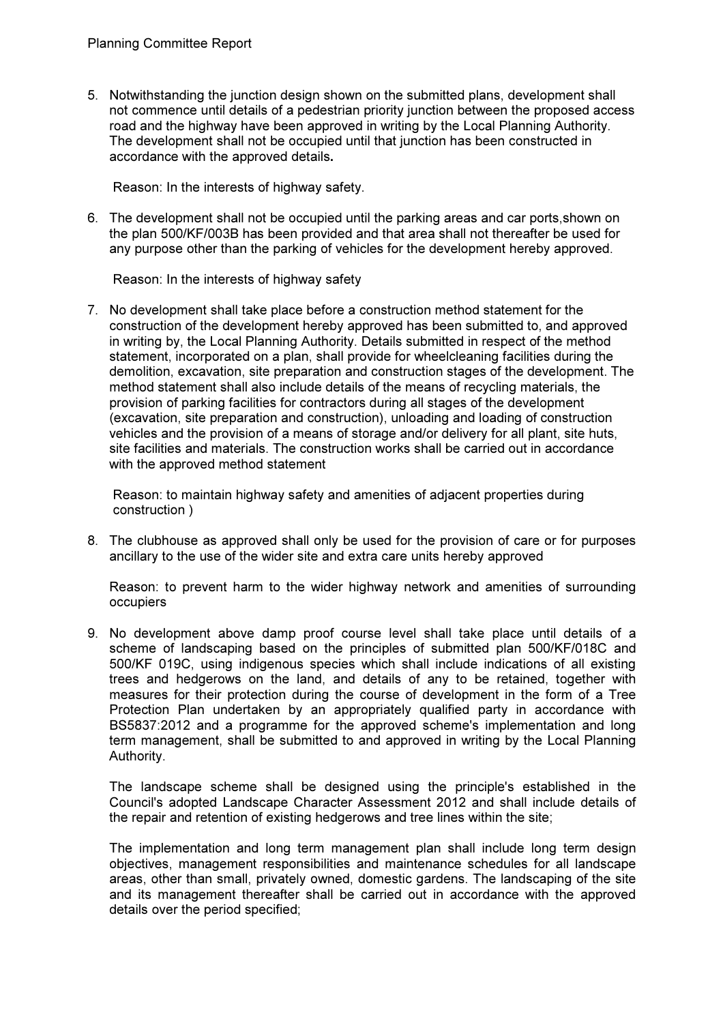5. Notwithstanding the junction design shown on the submitted plans, development shall not commence until details of a pedestrian priority junction between the proposed access road and the highway have been approved in writing by the Local Planning Authority. The development shall not be occupied until that junction has been constructed in accordance with the approved details.

Reason: In the interests of highway safety.

6. The development shall not be occupied until the parking areas and car ports,shown on the plan 500/KF/003B has been provided and that area shall not thereafter be used for any purpose other than the parking of vehicles for the development hereby approved.

Reason: In the interests of highway safety

7. No development shall take place before a construction method statement for the construction of the development hereby approved has been submitted to, and approved in writing by, the Local Planning Authority. Details submitted in respect of the method statement, incorporated on a plan, shall provide for wheelcleaning facilities during the demolition, excavation, site preparation and construction stages of the development. The method statement shall also include details of the means of recycling materials, the provision of parking facilities for contractors during all stages of the development (excavation, site preparation and construction), unloading and loading of construction vehicles and the provision of a means of storage and/or delivery for all plant, site huts, site facilities and materials. The construction works shall be carried out in accordance with the approved method statement

Reason: to maintain highway safety and amenities of adjacent properties during construction )

8. The clubhouse as approved shall only be used for the provision of care or for purposes ancillary to the use of the wider site and extra care units hereby approved

Reason: to prevent harm to the wider highway network and amenities of surrounding occupiers

9. No development above damp proof course level shall take place until details of a scheme of landscaping based on the principles of submitted plan 500/KF/018C and 500/KF 019C, using indigenous species which shall include indications of all existing trees and hedgerows on the land, and details of any to be retained, together with measures for their protection during the course of development in the form of a Tree Protection Plan undertaken by an appropriately qualified party in accordance with BS5837:2012 and a programme for the approved scheme's implementation and long term management, shall be submitted to and approved in writing by the Local Planning Authority.

The landscape scheme shall be designed using the principle's established in the Council's adopted Landscape Character Assessment 2012 and shall include details of the repair and retention of existing hedgerows and tree lines within the site;

The implementation and long term management plan shall include long term design objectives, management responsibilities and maintenance schedules for all landscape areas, other than small, privately owned, domestic gardens. The landscaping of the site and its management thereafter shall be carried out in accordance with the approved details over the period specified;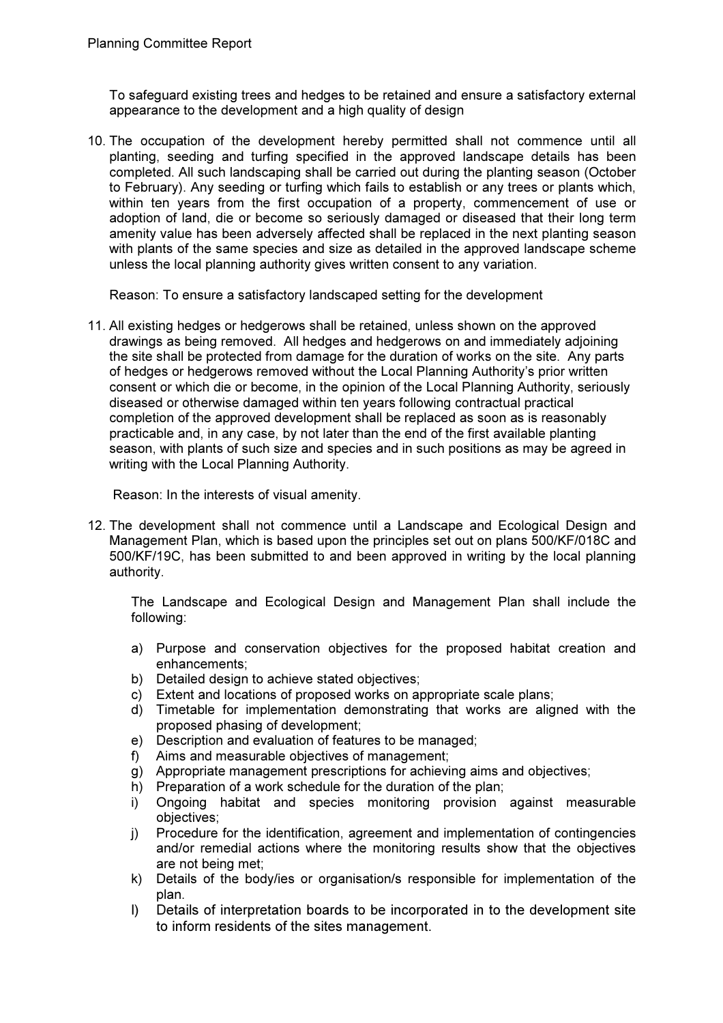To safeguard existing trees and hedges to be retained and ensure a satisfactory external appearance to the development and a high quality of design

10. The occupation of the development hereby permitted shall not commence until all planting, seeding and turfing specified in the approved landscape details has been completed. All such landscaping shall be carried out during the planting season (October to February). Any seeding or turfing which fails to establish or any trees or plants which, within ten years from the first occupation of a property, commencement of use or adoption of land, die or become so seriously damaged or diseased that their long term amenity value has been adversely affected shall be replaced in the next planting season with plants of the same species and size as detailed in the approved landscape scheme unless the local planning authority gives written consent to any variation.

Reason: To ensure a satisfactory landscaped setting for the development

11. All existing hedges or hedgerows shall be retained, unless shown on the approved drawings as being removed. All hedges and hedgerows on and immediately adjoining the site shall be protected from damage for the duration of works on the site. Any parts of hedges or hedgerows removed without the Local Planning Authority's prior written consent or which die or become, in the opinion of the Local Planning Authority, seriously diseased or otherwise damaged within ten years following contractual practical completion of the approved development shall be replaced as soon as is reasonably practicable and, in any case, by not later than the end of the first available planting season, with plants of such size and species and in such positions as may be agreed in writing with the Local Planning Authority.

Reason: In the interests of visual amenity.

12. The development shall not commence until a Landscape and Ecological Design and Management Plan, which is based upon the principles set out on plans 500/KF/018C and 500/KF/19C, has been submitted to and been approved in writing by the local planning authority.

The Landscape and Ecological Design and Management Plan shall include the following:

- a) Purpose and conservation objectives for the proposed habitat creation and enhancements;
- b) Detailed design to achieve stated objectives;
- c) Extent and locations of proposed works on appropriate scale plans;
- d) Timetable for implementation demonstrating that works are aligned with the proposed phasing of development;
- e) Description and evaluation of features to be managed;
- f) Aims and measurable objectives of management;
- g) Appropriate management prescriptions for achieving aims and objectives;
- h) Preparation of a work schedule for the duration of the plan;
- i) Ongoing habitat and species monitoring provision against measurable objectives;
- j) Procedure for the identification, agreement and implementation of contingencies and/or remedial actions where the monitoring results show that the objectives are not being met;
- k) Details of the body/ies or organisation/s responsible for implementation of the plan.
- l) Details of interpretation boards to be incorporated in to the development site to inform residents of the sites management.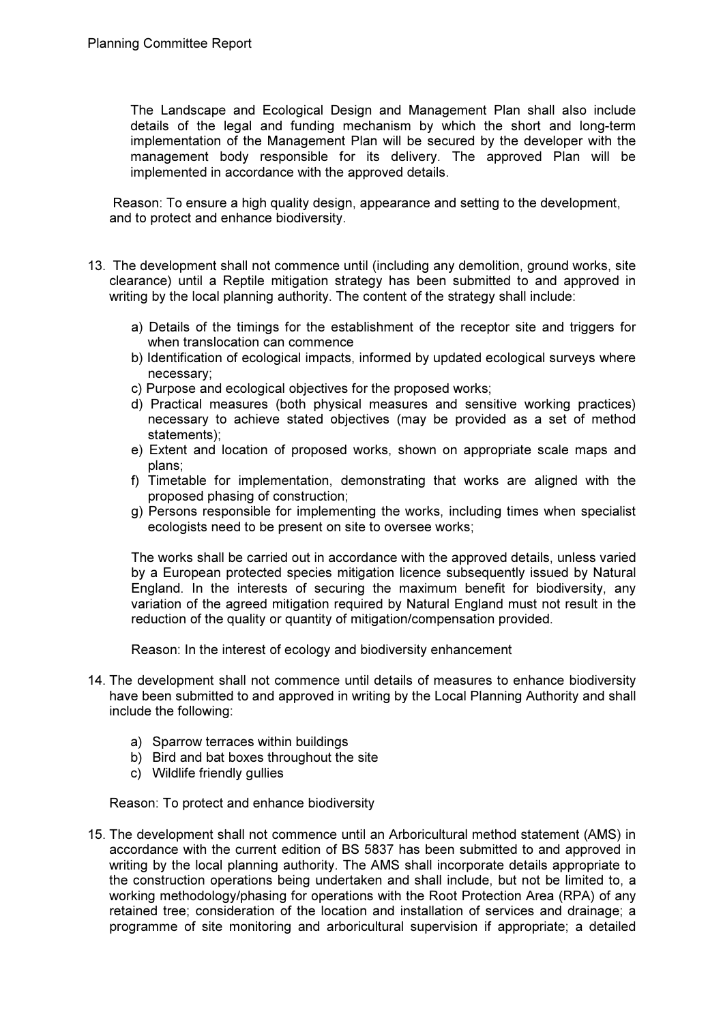The Landscape and Ecological Design and Management Plan shall also include details of the legal and funding mechanism by which the short and long-term implementation of the Management Plan will be secured by the developer with the management body responsible for its delivery. The approved Plan will be implemented in accordance with the approved details.

Reason: To ensure a high quality design, appearance and setting to the development, and to protect and enhance biodiversity.

- 13. The development shall not commence until (including any demolition, ground works, site clearance) until a Reptile mitigation strategy has been submitted to and approved in writing by the local planning authority. The content of the strategy shall include:
	- a) Details of the timings for the establishment of the receptor site and triggers for when translocation can commence
	- b) Identification of ecological impacts, informed by updated ecological surveys where necessary;
	- c) Purpose and ecological objectives for the proposed works;
	- d) Practical measures (both physical measures and sensitive working practices) necessary to achieve stated objectives (may be provided as a set of method statements);
	- e) Extent and location of proposed works, shown on appropriate scale maps and plans;
	- f) Timetable for implementation, demonstrating that works are aligned with the proposed phasing of construction;
	- g) Persons responsible for implementing the works, including times when specialist ecologists need to be present on site to oversee works;

The works shall be carried out in accordance with the approved details, unless varied by a European protected species mitigation licence subsequently issued by Natural England. In the interests of securing the maximum benefit for biodiversity, any variation of the agreed mitigation required by Natural England must not result in the reduction of the quality or quantity of mitigation/compensation provided.

Reason: In the interest of ecology and biodiversity enhancement

- 14. The development shall not commence until details of measures to enhance biodiversity have been submitted to and approved in writing by the Local Planning Authority and shall include the following:
	- a) Sparrow terraces within buildings
	- b) Bird and bat boxes throughout the site
	- c) Wildlife friendly gullies

Reason: To protect and enhance biodiversity

15. The development shall not commence until an Arboricultural method statement (AMS) in accordance with the current edition of BS 5837 has been submitted to and approved in writing by the local planning authority. The AMS shall incorporate details appropriate to the construction operations being undertaken and shall include, but not be limited to, a working methodology/phasing for operations with the Root Protection Area (RPA) of any retained tree; consideration of the location and installation of services and drainage; a programme of site monitoring and arboricultural supervision if appropriate; a detailed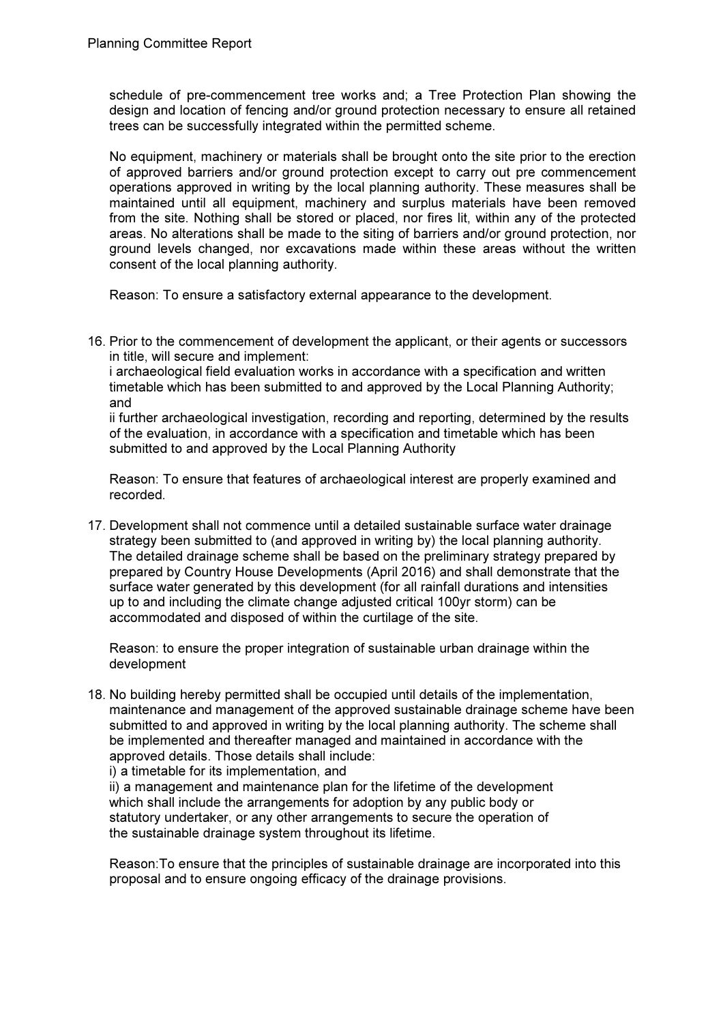schedule of pre-commencement tree works and; a Tree Protection Plan showing the design and location of fencing and/or ground protection necessary to ensure all retained trees can be successfully integrated within the permitted scheme.

No equipment, machinery or materials shall be brought onto the site prior to the erection of approved barriers and/or ground protection except to carry out pre commencement operations approved in writing by the local planning authority. These measures shall be maintained until all equipment, machinery and surplus materials have been removed from the site. Nothing shall be stored or placed, nor fires lit, within any of the protected areas. No alterations shall be made to the siting of barriers and/or ground protection, nor ground levels changed, nor excavations made within these areas without the written consent of the local planning authority.

Reason: To ensure a satisfactory external appearance to the development.

16. Prior to the commencement of development the applicant, or their agents or successors in title, will secure and implement:

i archaeological field evaluation works in accordance with a specification and written timetable which has been submitted to and approved by the Local Planning Authority; and

ii further archaeological investigation, recording and reporting, determined by the results of the evaluation, in accordance with a specification and timetable which has been submitted to and approved by the Local Planning Authority

Reason: To ensure that features of archaeological interest are properly examined and recorded.

17. Development shall not commence until a detailed sustainable surface water drainage strategy been submitted to (and approved in writing by) the local planning authority. The detailed drainage scheme shall be based on the preliminary strategy prepared by prepared by Country House Developments (April 2016) and shall demonstrate that the surface water generated by this development (for all rainfall durations and intensities up to and including the climate change adjusted critical 100yr storm) can be accommodated and disposed of within the curtilage of the site.

Reason: to ensure the proper integration of sustainable urban drainage within the development

18. No building hereby permitted shall be occupied until details of the implementation, maintenance and management of the approved sustainable drainage scheme have been submitted to and approved in writing by the local planning authority. The scheme shall be implemented and thereafter managed and maintained in accordance with the approved details. Those details shall include:

i) a timetable for its implementation, and

ii) a management and maintenance plan for the lifetime of the development which shall include the arrangements for adoption by any public body or statutory undertaker, or any other arrangements to secure the operation of the sustainable drainage system throughout its lifetime.

Reason:To ensure that the principles of sustainable drainage are incorporated into this proposal and to ensure ongoing efficacy of the drainage provisions.